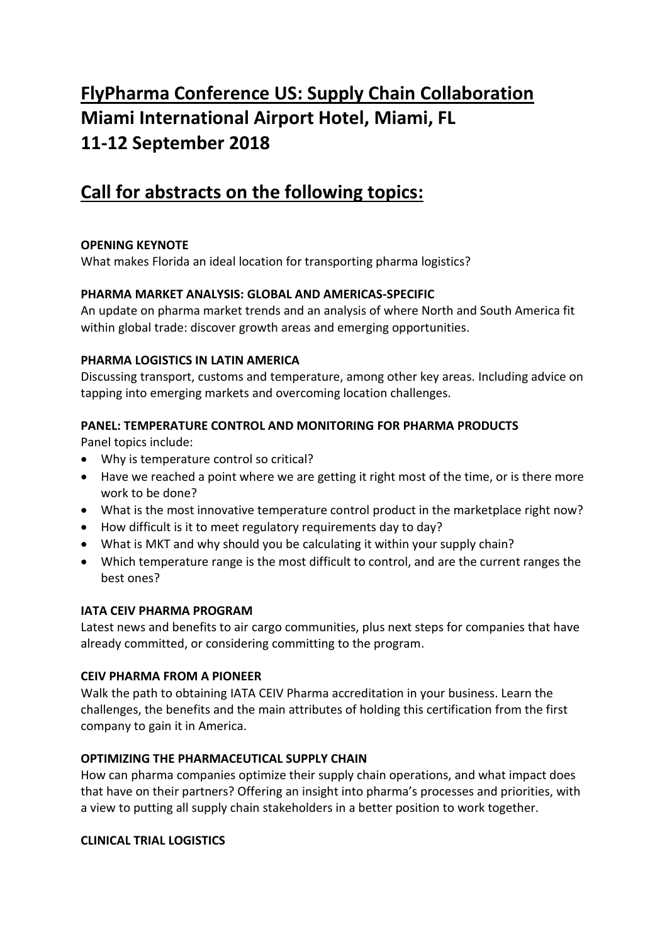# **FlyPharma Conference US: Supply Chain Collaboration Miami International Airport Hotel, Miami, FL 11-12 September 2018**

# **Call for abstracts on the following topics:**

# **OPENING KEYNOTE**

What makes Florida an ideal location for transporting pharma logistics?

# **PHARMA MARKET ANALYSIS: GLOBAL AND AMERICAS-SPECIFIC**

An update on pharma market trends and an analysis of where North and South America fit within global trade: discover growth areas and emerging opportunities.

# **PHARMA LOGISTICS IN LATIN AMERICA**

Discussing transport, customs and temperature, among other key areas. Including advice on tapping into emerging markets and overcoming location challenges.

# **PANEL: TEMPERATURE CONTROL AND MONITORING FOR PHARMA PRODUCTS**

Panel topics include:

- Why is temperature control so critical?
- Have we reached a point where we are getting it right most of the time, or is there more work to be done?
- What is the most innovative temperature control product in the marketplace right now?
- How difficult is it to meet regulatory requirements day to day?
- What is MKT and why should you be calculating it within your supply chain?
- Which temperature range is the most difficult to control, and are the current ranges the best ones?

# **IATA CEIV PHARMA PROGRAM**

Latest news and benefits to air cargo communities, plus next steps for companies that have already committed, or considering committing to the program.

# **CEIV PHARMA FROM A PIONEER**

Walk the path to obtaining IATA CEIV Pharma accreditation in your business. Learn the challenges, the benefits and the main attributes of holding this certification from the first company to gain it in America.

# **OPTIMIZING THE PHARMACEUTICAL SUPPLY CHAIN**

How can pharma companies optimize their supply chain operations, and what impact does that have on their partners? Offering an insight into pharma's processes and priorities, with a view to putting all supply chain stakeholders in a better position to work together.

# **CLINICAL TRIAL LOGISTICS**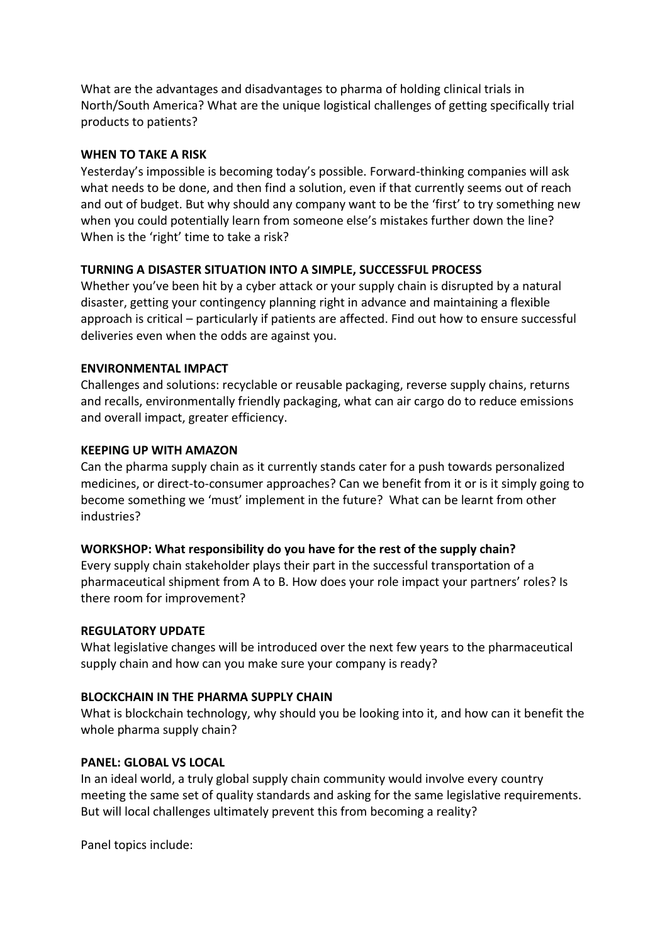What are the advantages and disadvantages to pharma of holding clinical trials in North/South America? What are the unique logistical challenges of getting specifically trial products to patients?

#### **WHEN TO TAKE A RISK**

Yesterday's impossible is becoming today's possible. Forward-thinking companies will ask what needs to be done, and then find a solution, even if that currently seems out of reach and out of budget. But why should any company want to be the 'first' to try something new when you could potentially learn from someone else's mistakes further down the line? When is the 'right' time to take a risk?

#### **TURNING A DISASTER SITUATION INTO A SIMPLE, SUCCESSFUL PROCESS**

Whether you've been hit by a cyber attack or your supply chain is disrupted by a natural disaster, getting your contingency planning right in advance and maintaining a flexible approach is critical – particularly if patients are affected. Find out how to ensure successful deliveries even when the odds are against you.

#### **ENVIRONMENTAL IMPACT**

Challenges and solutions: recyclable or reusable packaging, reverse supply chains, returns and recalls, environmentally friendly packaging, what can air cargo do to reduce emissions and overall impact, greater efficiency.

#### **KEEPING UP WITH AMAZON**

Can the pharma supply chain as it currently stands cater for a push towards personalized medicines, or direct-to-consumer approaches? Can we benefit from it or is it simply going to become something we 'must' implement in the future? What can be learnt from other industries?

# **WORKSHOP: What responsibility do you have for the rest of the supply chain?**

Every supply chain stakeholder plays their part in the successful transportation of a pharmaceutical shipment from A to B. How does your role impact your partners' roles? Is there room for improvement?

#### **REGULATORY UPDATE**

What legislative changes will be introduced over the next few years to the pharmaceutical supply chain and how can you make sure your company is ready?

#### **BLOCKCHAIN IN THE PHARMA SUPPLY CHAIN**

What is blockchain technology, why should you be looking into it, and how can it benefit the whole pharma supply chain?

# **PANEL: GLOBAL VS LOCAL**

In an ideal world, a truly global supply chain community would involve every country meeting the same set of quality standards and asking for the same legislative requirements. But will local challenges ultimately prevent this from becoming a reality?

Panel topics include: